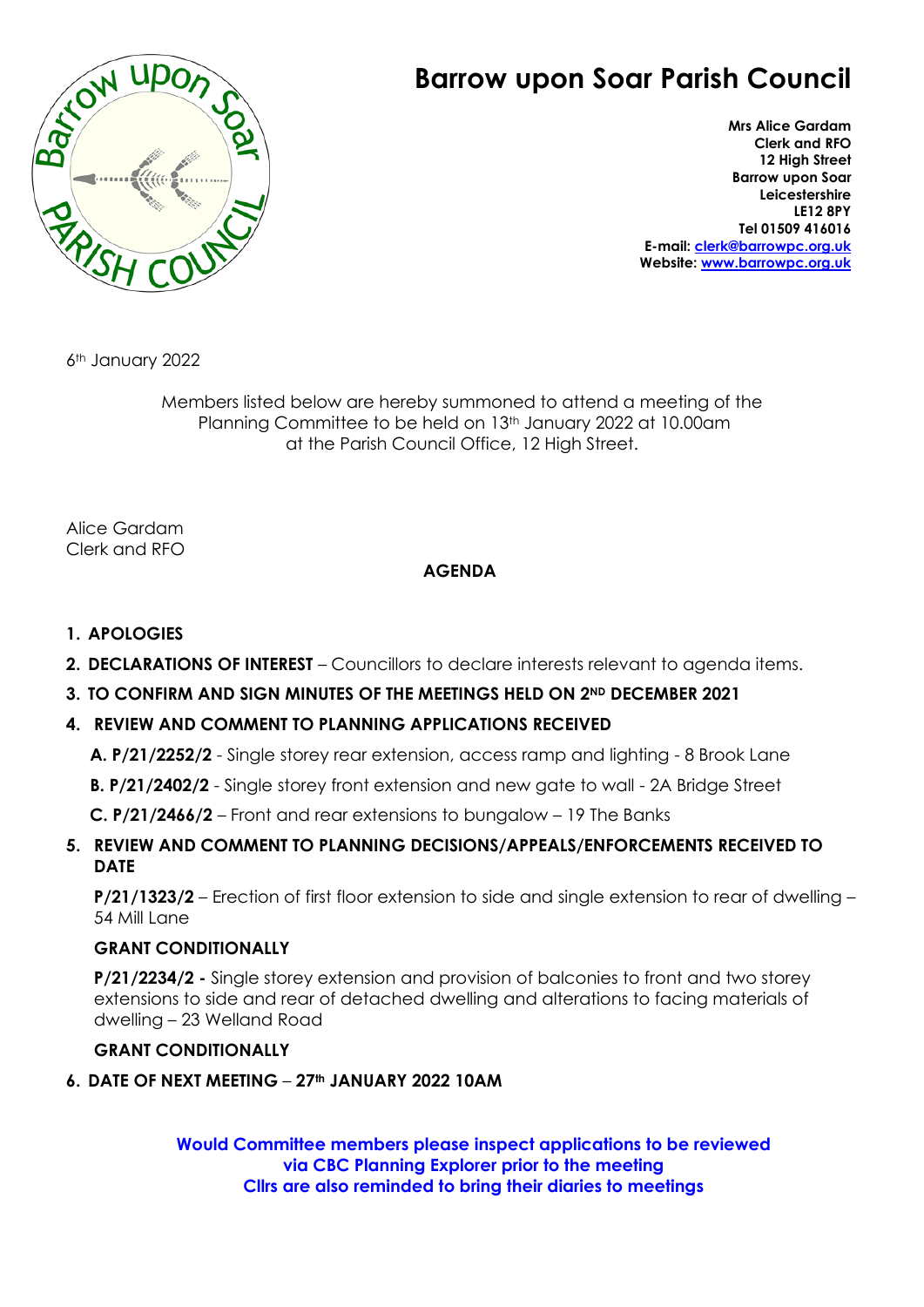

## **Barrow upon Soar Parish Council**

**Mrs Alice Gardam Clerk and RFO 12 High Street Barrow upon Soar Leicestershire LE12 8PY Tel 01509 416016 E-mail: [clerk@barrowpc.org.uk](mailto:clerk@barrowpc.org.uk) Website: [www.barrowpc.org.uk](http://www.barrowpc.org.uk/)**

6th January 2022

Members listed below are hereby summoned to attend a meeting of the Planning Committee to be held on 13th January 2022 at 10.00am at the Parish Council Office, 12 High Street.

Alice Gardam Clerk and RFO

## **AGENDA**

- **1. APOLOGIES**
- **2. DECLARATIONS OF INTEREST** Councillors to declare interests relevant to agenda items.
- **3. TO CONFIRM AND SIGN MINUTES OF THE MEETINGS HELD ON 2ND DECEMBER 2021**
- **4. REVIEW AND COMMENT TO PLANNING APPLICATIONS RECEIVED**

**A. P/21/2252/2** - Single storey rear extension, access ramp and lighting - 8 Brook Lane

**B. P/21/2402/2** - Single storey front extension and new gate to wall - 2A Bridge Street

**C. P/21/2466/2** – Front and rear extensions to bungalow – 19 The Banks

**5. REVIEW AND COMMENT TO PLANNING DECISIONS/APPEALS/ENFORCEMENTS RECEIVED TO DATE**

**P/21/1323/2** – Erection of first floor extension to side and single extension to rear of dwelling – 54 Mill Lane

## **GRANT CONDITIONALLY**

**P/21/2234/2 -** Single storey extension and provision of balconies to front and two storey extensions to side and rear of detached dwelling and alterations to facing materials of dwelling – 23 Welland Road

## **GRANT CONDITIONALLY**

**6. DATE OF NEXT MEETING** – **27th JANUARY 2022 10AM**

**Would Committee members please inspect applications to be reviewed via CBC Planning Explorer prior to the meeting Cllrs are also reminded to bring their diaries to meetings**